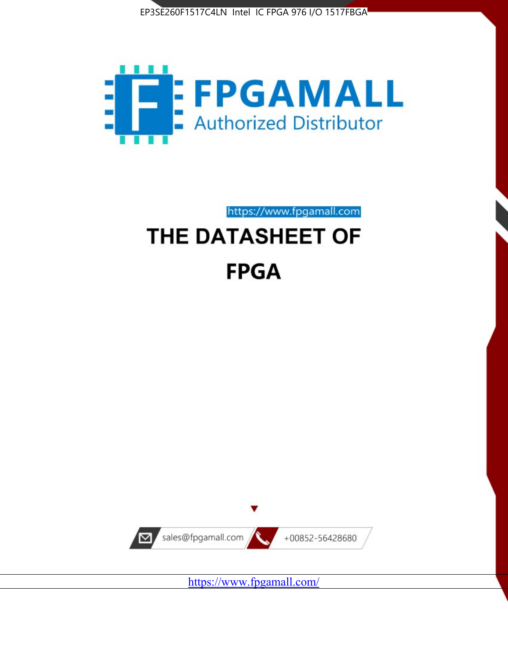



https://www.fpgamall.com THE DATASHEET OF

# **FPGA**



<https://www.fpgamall.com/>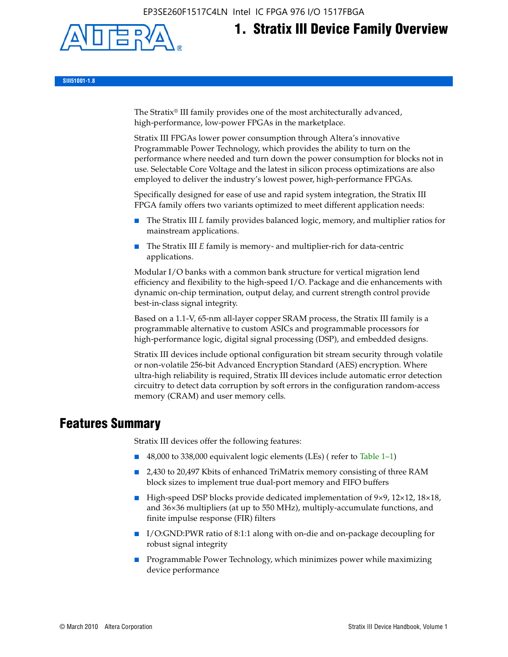EP3SE260F1517C4LN Intel IC FPGA 976 I/O 1517FBGA



**1. Stratix III Device Family Overview**

**SIII51001-1.8**

The Stratix® III family provides one of the most architecturally advanced, high-performance, low-power FPGAs in the marketplace.

Stratix III FPGAs lower power consumption through Altera's innovative Programmable Power Technology, which provides the ability to turn on the performance where needed and turn down the power consumption for blocks not in use. Selectable Core Voltage and the latest in silicon process optimizations are also employed to deliver the industry's lowest power, high-performance FPGAs.

Specifically designed for ease of use and rapid system integration, the Stratix III FPGA family offers two variants optimized to meet different application needs:

- The Stratix III *L* family provides balanced logic, memory, and multiplier ratios for mainstream applications.
- The Stratix III *E* family is memory- and multiplier-rich for data-centric applications.

Modular I/O banks with a common bank structure for vertical migration lend efficiency and flexibility to the high-speed I/O. Package and die enhancements with dynamic on-chip termination, output delay, and current strength control provide best-in-class signal integrity.

Based on a 1.1-V, 65-nm all-layer copper SRAM process, the Stratix III family is a programmable alternative to custom ASICs and programmable processors for high-performance logic, digital signal processing (DSP), and embedded designs.

Stratix III devices include optional configuration bit stream security through volatile or non-volatile 256-bit Advanced Encryption Standard (AES) encryption. Where ultra-high reliability is required, Stratix III devices include automatic error detection circuitry to detect data corruption by soft errors in the configuration random-access memory (CRAM) and user memory cells.

## **Features Summary**

Stratix III devices offer the following features:

- 48,000 to 338,000 equivalent logic elements (LEs) (refer to Table 1–1)
- 2,430 to 20,497 Kbits of enhanced TriMatrix memory consisting of three RAM block sizes to implement true dual-port memory and FIFO buffers
- High-speed DSP blocks provide dedicated implementation of 9×9, 12×12, 18×18, and 36×36 multipliers (at up to 550 MHz), multiply-accumulate functions, and finite impulse response (FIR) filters
- I/O:GND:PWR ratio of 8:1:1 along with on-die and on-package decoupling for robust signal integrity
- Programmable Power Technology, which minimizes power while maximizing device performance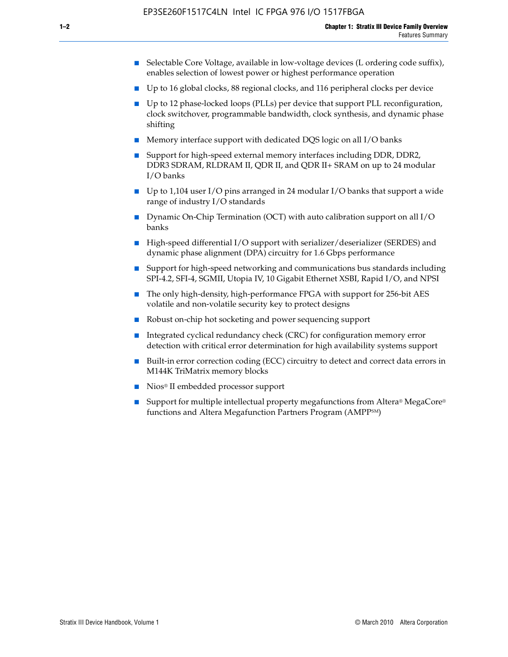- Selectable Core Voltage, available in low-voltage devices (L ordering code suffix), enables selection of lowest power or highest performance operation
- Up to 16 global clocks, 88 regional clocks, and 116 peripheral clocks per device
- Up to 12 phase-locked loops (PLLs) per device that support PLL reconfiguration, clock switchover, programmable bandwidth, clock synthesis, and dynamic phase shifting
- Memory interface support with dedicated DQS logic on all I/O banks
- Support for high-speed external memory interfaces including DDR, DDR2, DDR3 SDRAM, RLDRAM II, QDR II, and QDR II+ SRAM on up to 24 modular I/O banks
- Up to 1,104 user I/O pins arranged in 24 modular I/O banks that support a wide range of industry I/O standards
- Dynamic On-Chip Termination (OCT) with auto calibration support on all  $I/O$ banks
- High-speed differential I/O support with serializer/deserializer (SERDES) and dynamic phase alignment (DPA) circuitry for 1.6 Gbps performance
- Support for high-speed networking and communications bus standards including SPI-4.2, SFI-4, SGMII, Utopia IV, 10 Gigabit Ethernet XSBI, Rapid I/O, and NPSI
- The only high-density, high-performance FPGA with support for 256-bit AES volatile and non-volatile security key to protect designs
- Robust on-chip hot socketing and power sequencing support
- Integrated cyclical redundancy check (CRC) for configuration memory error detection with critical error determination for high availability systems support
- Built-in error correction coding (ECC) circuitry to detect and correct data errors in M144K TriMatrix memory blocks
- Nios<sup>®</sup> II embedded processor support
- Support for multiple intellectual property megafunctions from Altera® MegaCore® functions and Altera Megafunction Partners Program (AMPPSM)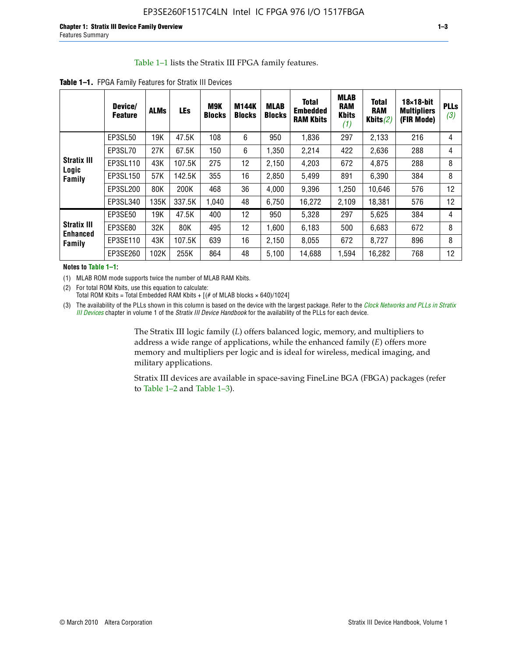#### Table 1–1 lists the Stratix III FPGA family features.

|                                       | Device/<br><b>Feature</b> | <b>ALMs</b> | <b>LEs</b> | <b>M9K</b><br><b>Blocks</b> | <b>M144K</b><br><b>Blocks</b> | <b>MLAB</b><br><b>Blocks</b> | <b>Total</b><br><b>Embedded</b><br><b>RAM Kbits</b> | <b>MLAB</b><br><b>RAM</b><br><b>Kbits</b><br>(1) | <b>Total</b><br><b>RAM</b><br>Kbits $(2)$ | $18\times18$ -bit<br><b>Multipliers</b><br>(FIR Mode) | <b>PLLs</b><br>(3) |
|---------------------------------------|---------------------------|-------------|------------|-----------------------------|-------------------------------|------------------------------|-----------------------------------------------------|--------------------------------------------------|-------------------------------------------|-------------------------------------------------------|--------------------|
|                                       | EP3SL50                   | 19K         | 47.5K      | 108                         | 6                             | 950                          | 1,836                                               | 297                                              | 2,133                                     | 216                                                   | 4                  |
|                                       | EP3SL70                   | 27K         | 67.5K      | 150                         | 6                             | 1,350                        | 2,214                                               | 422                                              | 2,636                                     | 288                                                   | 4                  |
| <b>Stratix III</b>                    | EP3SL110                  | 43K         | 107.5K     | 275                         | 12                            | 2,150                        | 4,203                                               | 672                                              | 4,875                                     | 288                                                   | 8                  |
| Logic<br>Family                       | EP3SL150                  | 57K         | 142.5K     | 355                         | 16                            | 2,850                        | 5,499                                               | 891                                              | 6,390                                     | 384                                                   | 8                  |
|                                       | EP3SL200                  | 80K         | 200K       | 468                         | 36                            | 4,000                        | 9,396                                               | 1,250                                            | 10,646                                    | 576                                                   | 12                 |
|                                       | EP3SL340                  | 135K        | 337.5K     | 1.040                       | 48                            | 6,750                        | 16,272                                              | 2,109                                            | 18,381                                    | 576                                                   | 12                 |
|                                       | EP3SE50                   | 19K         | 47.5K      | 400                         | 12                            | 950                          | 5,328                                               | 297                                              | 5,625                                     | 384                                                   | 4                  |
| <b>Stratix III</b><br><b>Enhanced</b> | EP3SE80                   | 32K         | 80K        | 495                         | 12                            | 1,600                        | 6,183                                               | 500                                              | 6,683                                     | 672                                                   | 8                  |
| Family                                | EP3SE110                  | 43K         | 107.5K     | 639                         | 16                            | 2,150                        | 8,055                                               | 672                                              | 8,727                                     | 896                                                   | 8                  |
|                                       | EP3SE260                  | 102K        | 255K       | 864                         | 48                            | 5,100                        | 14,688                                              | 1,594                                            | 16,282                                    | 768                                                   | 12                 |

**Table 1–1.** FPGA Family Features for Stratix III Devices

**Notes to Table 1–1:**

(1) MLAB ROM mode supports twice the number of MLAB RAM Kbits.

(2) For total ROM Kbits, use this equation to calculate: Total ROM Kbits = Total Embedded RAM Kbits +  $[(# of MLAB blocks × 640)/1024]$ 

(3) The availability of the PLLs shown in this column is based on the device with the largest package. Refer to the *[Clock Networks and PLLs in Stratix](http://www.altera.com/literature/hb/stx3/stx3_siii51006.pdf)  [III Devices](http://www.altera.com/literature/hb/stx3/stx3_siii51006.pdf)* chapter in volume 1 of the *Stratix III Device Handbook* for the availability of the PLLs for each device.

> The Stratix III logic family (*L*) offers balanced logic, memory, and multipliers to address a wide range of applications, while the enhanced family (*E*) offers more memory and multipliers per logic and is ideal for wireless, medical imaging, and military applications.

Stratix III devices are available in space-saving FineLine BGA (FBGA) packages (refer to Table 1–2 and Table 1–3).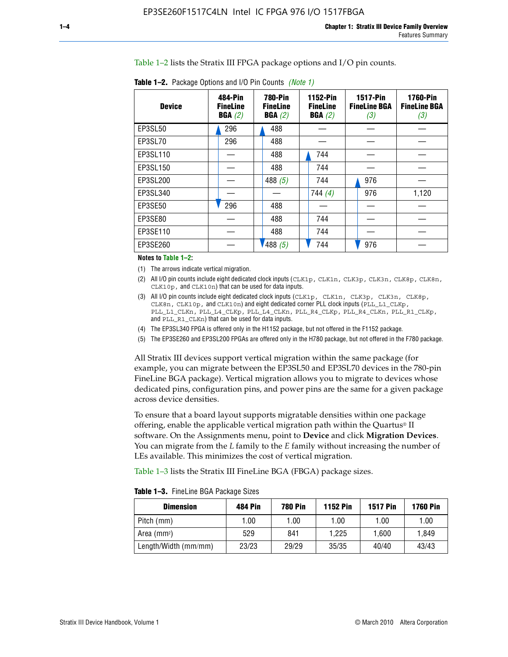Table 1–2 lists the Stratix III FPGA package options and I/O pin counts.

| <b>Device</b> | 484-Pin<br><b>FineLine</b><br>BGA(2) | <b>780-Pin</b><br><b>FineLine</b><br>BGA(2) | 1152-Pin<br><b>FineLine</b><br>BGA(2) | <b>1517-Pin</b><br><b>FineLine BGA</b><br>(3) | <b>1760-Pin</b><br><b>FineLine BGA</b><br>(3) |
|---------------|--------------------------------------|---------------------------------------------|---------------------------------------|-----------------------------------------------|-----------------------------------------------|
| EP3SL50       | 296                                  | 488                                         |                                       |                                               |                                               |
| EP3SL70       | 296                                  | 488                                         |                                       |                                               |                                               |
| EP3SL110      |                                      | 488                                         | 744                                   |                                               |                                               |
| EP3SL150      |                                      | 488                                         | 744                                   |                                               |                                               |
| EP3SL200      |                                      | 488 $(5)$                                   | 744                                   | 976                                           |                                               |
| EP3SL340      |                                      |                                             | 744(4)                                | 976                                           | 1,120                                         |
| EP3SE50       | 296                                  | 488                                         |                                       |                                               |                                               |
| EP3SE80       |                                      | 488                                         | 744                                   |                                               |                                               |
| EP3SE110      |                                      | 488                                         | 744                                   |                                               |                                               |
| EP3SE260      |                                      | '488(5)                                     | 744                                   | 976                                           |                                               |

**Table 1–2.** Package Options and I/O Pin Counts *(Note 1)*

**Notes to Table 1–2:**

(1) The arrows indicate vertical migration.

- (2) All I/O pin counts include eight dedicated clock inputs (CLK1p, CLK1n, CLK3p, CLK3n, CLK8p, CLK8n, CLK10p, and CLK10n) that can be used for data inputs.
- (3) All I/O pin counts include eight dedicated clock inputs (CLK1p, CLK1n, CLK3p, CLK3n, CLK8p, CLK8n, CLK10p, and CLK10n) and eight dedicated corner PLL clock inputs (PLL\_L1\_CLKp, PLL\_L1\_CLKn, PLL\_L4\_CLKp, PLL\_L4\_CLKn, PLL\_R4\_CLKp, PLL\_R4\_CLKn, PLL\_R1\_CLKp, and PLL\_R1\_CLKn) that can be used for data inputs.
- (4) The EP3SL340 FPGA is offered only in the H1152 package, but not offered in the F1152 package.
- (5) The EP3SE260 and EP3SL200 FPGAs are offered only in the H780 package, but not offered in the F780 package.

All Stratix III devices support vertical migration within the same package (for example, you can migrate between the EP3SL50 and EP3SL70 devices in the 780-pin FineLine BGA package). Vertical migration allows you to migrate to devices whose dedicated pins, configuration pins, and power pins are the same for a given package across device densities.

To ensure that a board layout supports migratable densities within one package offering, enable the applicable vertical migration path within the Quartus® II software. On the Assignments menu, point to **Device** and click **Migration Devices**. You can migrate from the *L* family to the *E* family without increasing the number of LEs available. This minimizes the cost of vertical migration.

Table 1–3 lists the Stratix III FineLine BGA (FBGA) package sizes.

**Table 1–3.** FineLine BGA Package Sizes

| <b>Dimension</b>     | <b>484 Pin</b> | <b>780 Pin</b> | <b>1152 Pin</b> | <b>1517 Pin</b> | <b>1760 Pin</b> |
|----------------------|----------------|----------------|-----------------|-----------------|-----------------|
| Pitch (mm)           | 1.00           | 1.00           | 1.00            | 1.00            | 1.00            |
| Area $(mm2)$         | 529            | 841            | 1.225           | 1.600           | 1.849           |
| Length/Width (mm/mm) | 23/23          | 29/29          | 35/35           | 40/40           | 43/43           |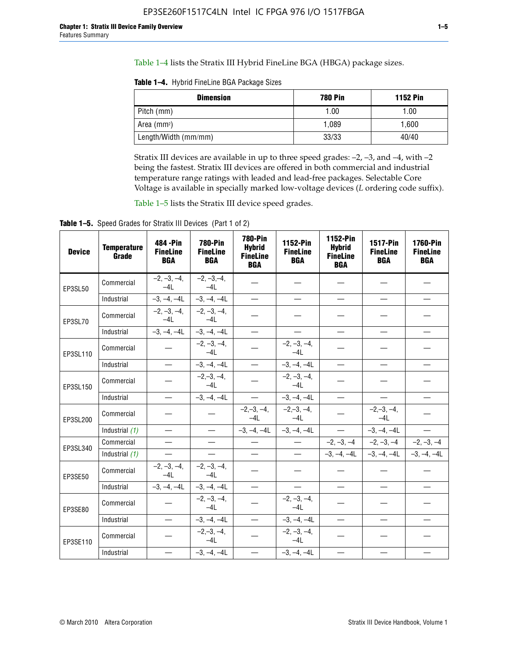Table 1–4 lists the Stratix III Hybrid FineLine BGA (HBGA) package sizes.

**Table 1–4.** Hybrid FineLine BGA Package Sizes

| <b>Dimension</b>     | <b>780 Pin</b> | <b>1152 Pin</b> |
|----------------------|----------------|-----------------|
| Pitch (mm)           | 1.00           | 1.00            |
| Area $(mm^2)$        | 1.089          | 1.600           |
| Length/Width (mm/mm) | 33/33          | 40/40           |

Stratix III devices are available in up to three speed grades: –2, –3, and –4, with –2 being the fastest. Stratix III devices are offered in both commercial and industrial temperature range ratings with leaded and lead-free packages. Selectable Core Voltage is available in specially marked low-voltage devices (*L* ordering code suffix).

Table 1–5 lists the Stratix III device speed grades.

Table 1-5. Speed Grades for Stratix III Devices (Part 1 of 2)

| <b>Device</b> | <b>Temperature</b><br>Grade | 484 - Pin<br><b>FineLine</b><br><b>BGA</b> | <b>780-Pin</b><br><b>FineLine</b><br><b>BGA</b> | <b>780-Pin</b><br><b>Hybrid</b><br><b>FineLine</b><br><b>BGA</b> | 1152-Pin<br><b>FineLine</b><br><b>BGA</b> | 1152-Pin<br><b>Hybrid</b><br><b>FineLine</b><br><b>BGA</b> | 1517-Pin<br><b>FineLine</b><br><b>BGA</b> | <b>1760-Pin</b><br><b>FineLine</b><br><b>BGA</b> |
|---------------|-----------------------------|--------------------------------------------|-------------------------------------------------|------------------------------------------------------------------|-------------------------------------------|------------------------------------------------------------|-------------------------------------------|--------------------------------------------------|
| EP3SL50       | Commercial                  | $-2, -3, -4,$<br>$-4L$                     | $-2, -3, -4,$<br>$-4L$                          |                                                                  |                                           |                                                            |                                           |                                                  |
|               | Industrial                  | $-3, -4, -4L$                              | $-3, -4, -4L$                                   | $\equiv$                                                         | $\equiv$                                  | $\overline{\phantom{0}}$                                   |                                           | $\overline{\phantom{0}}$                         |
| EP3SL70       | Commercial                  | $-2, -3, -4,$<br>$-4L$                     | $-2, -3, -4,$<br>$-41$                          |                                                                  |                                           |                                                            |                                           |                                                  |
|               | Industrial                  | $-3, -4, -4L$                              | $-3, -4, -4L$                                   | $\overbrace{\phantom{1232211}}$                                  |                                           | $\overline{\phantom{0}}$                                   | $\overline{\phantom{0}}$                  | $\overline{\phantom{0}}$                         |
| EP3SL110      | Commercial                  |                                            | $-2, -3, -4,$<br>$-4L$                          |                                                                  | $-2, -3, -4,$<br>$-4L$                    |                                                            |                                           |                                                  |
|               | Industrial                  | $\equiv$                                   | $-3, -4, -4L$                                   | $\frac{1}{1}$                                                    | $-3, -4, -4L$                             | $\frac{1}{2}$                                              |                                           | $\overline{\phantom{0}}$                         |
| EP3SL150      | Commercial                  |                                            | $-2, -3, -4,$<br>$-41$                          |                                                                  | $-2, -3, -4,$<br>$-41$                    |                                                            |                                           |                                                  |
|               | Industrial                  | $\overline{\phantom{m}}$                   | $-3, -4, -4L$                                   | $\equiv$                                                         | $-3, -4, -4L$                             | $\overline{\phantom{0}}$                                   | $\overline{\phantom{0}}$                  | $\overbrace{\phantom{12322111}}$                 |
| EP3SL200      | Commercial                  |                                            |                                                 | $-2, -3, -4,$<br>$-4L$                                           | $-2, -3, -4,$<br>$-4L$                    |                                                            | $-2,-3,-4,$<br>$-4L$                      |                                                  |
|               | Industrial (1)              | $\equiv$                                   | $\equiv$                                        | $-3, -4, -4L$                                                    | $-3, -4, -4L$                             | $\equiv$                                                   | $-3, -4, -4L$                             | $\equiv$                                         |
| EP3SL340      | Commercial                  |                                            | $\equiv$                                        |                                                                  | $\overline{\phantom{m}}$                  |                                                            | $-2, -3, -4$ $-2, -3, -4$                 | $-2, -3, -4$                                     |
|               | Industrial (1)              |                                            | $\equiv$                                        | $\qquad \qquad -$                                                | $\overline{\phantom{0}}$                  |                                                            | $-3, -4, -4$ $-3, -4, -4$                 | $-3, -4, -4L$                                    |
| EP3SE50       | Commercial                  | $-2, -3, -4,$<br>$-4L$                     | $-2, -3, -4,$<br>$-4L$                          |                                                                  |                                           |                                                            |                                           |                                                  |
|               | Industrial                  | $-3, -4, -4L$                              | $-3, -4, -4L$                                   |                                                                  | $\overline{\phantom{0}}$                  |                                                            | $\overline{\phantom{0}}$                  | $\overline{\phantom{0}}$                         |
| EP3SE80       | Commercial                  |                                            | $-2, -3, -4,$<br>$-41$                          |                                                                  | $-2, -3, -4,$<br>$-4L$                    |                                                            |                                           |                                                  |
|               | Industrial                  | $\overline{\phantom{m}}$                   | $-3, -4, -4L$                                   |                                                                  | $-3, -4, -4L$                             |                                                            | $\equiv$                                  |                                                  |
| EP3SE110      | Commercial                  |                                            | $-2, -3, -4,$<br>$-4L$                          |                                                                  | $-2, -3, -4,$<br>$-4L$                    |                                                            |                                           |                                                  |
|               | Industrial                  |                                            | $-3, -4, -4L$                                   | $\equiv$                                                         | $-3, -4, -4L$                             |                                                            |                                           |                                                  |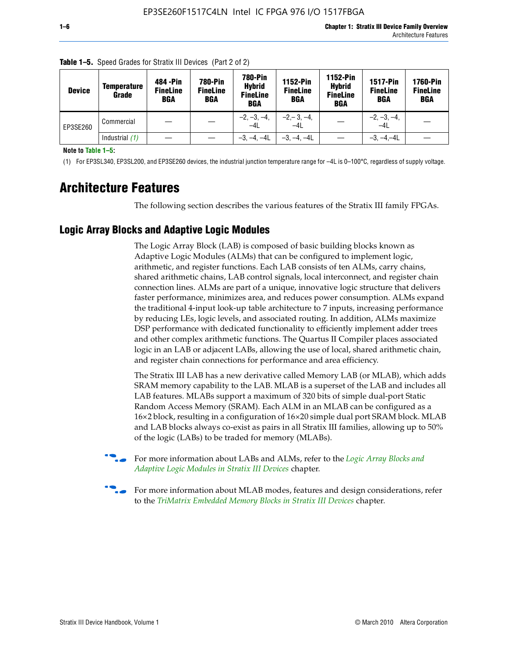| <b>Device</b> | <b>Temperature</b><br>Grade | 484 - Pin<br><b>FineLine</b><br><b>BGA</b> | <b>780-Pin</b><br><b>FineLine</b><br>BGA | <b>780-Pin</b><br><b>Hybrid</b><br><b>FineLine</b><br><b>BGA</b> | 1152-Pin<br><b>FineLine</b><br><b>BGA</b> | <b>1152-Pin</b><br><b>Hybrid</b><br><b>FineLine</b><br><b>BGA</b> | <b>1517-Pin</b><br><b>FineLine</b><br><b>BGA</b> | <b>1760-Pin</b><br><b>FineLine</b><br><b>BGA</b> |
|---------------|-----------------------------|--------------------------------------------|------------------------------------------|------------------------------------------------------------------|-------------------------------------------|-------------------------------------------------------------------|--------------------------------------------------|--------------------------------------------------|
| EP3SE260      | Commercial                  |                                            |                                          | $-2, -3, -4,$<br>$-4L$                                           | $-2, -3, -4,$<br>$-4L$                    |                                                                   | $-2, -3, -4,$<br>$-4L$                           |                                                  |
|               | Industrial $(1)$            |                                            |                                          | $-3, -4, -4L$                                                    | $-3, -4, -4L$                             |                                                                   | $-3. -4 -4L$                                     |                                                  |

**Table 1–5.** Speed Grades for Stratix III Devices (Part 2 of 2)

**Note to Table 1–5:**

(1) For EP3SL340, EP3SL200, and EP3SE260 devices, the industrial junction temperature range for –4L is 0–100°C, regardless of supply voltage.

## **Architecture Features**

The following section describes the various features of the Stratix III family FPGAs.

#### **Logic Array Blocks and Adaptive Logic Modules**

The Logic Array Block (LAB) is composed of basic building blocks known as Adaptive Logic Modules (ALMs) that can be configured to implement logic, arithmetic, and register functions. Each LAB consists of ten ALMs, carry chains, shared arithmetic chains, LAB control signals, local interconnect, and register chain connection lines. ALMs are part of a unique, innovative logic structure that delivers faster performance, minimizes area, and reduces power consumption. ALMs expand the traditional 4-input look-up table architecture to 7 inputs, increasing performance by reducing LEs, logic levels, and associated routing. In addition, ALMs maximize DSP performance with dedicated functionality to efficiently implement adder trees and other complex arithmetic functions. The Quartus II Compiler places associated logic in an LAB or adjacent LABs, allowing the use of local, shared arithmetic chain, and register chain connections for performance and area efficiency.

The Stratix III LAB has a new derivative called Memory LAB (or MLAB), which adds SRAM memory capability to the LAB. MLAB is a superset of the LAB and includes all LAB features. MLABs support a maximum of 320 bits of simple dual-port Static Random Access Memory (SRAM). Each ALM in an MLAB can be configured as a 16×2 block, resulting in a configuration of 16×20 simple dual port SRAM block. MLAB and LAB blocks always co-exist as pairs in all Stratix III families, allowing up to 50% of the logic (LABs) to be traded for memory (MLABs).



f For more information about LABs and ALMs, refer to the *[Logic Array Blocks and](http://www.altera.com/literature/hb/stx3/stx3_siii51002.pdf)  [Adaptive Logic Modules in Stratix III Devices](http://www.altera.com/literature/hb/stx3/stx3_siii51002.pdf)* chapter.



For more information about MLAB modes, features and design considerations, refer to the *[TriMatrix Embedded Memory Blocks in Stratix III Devices](http://www.altera.com/literature/hb/stx3/stx3_siii51004.pdf)* chapter.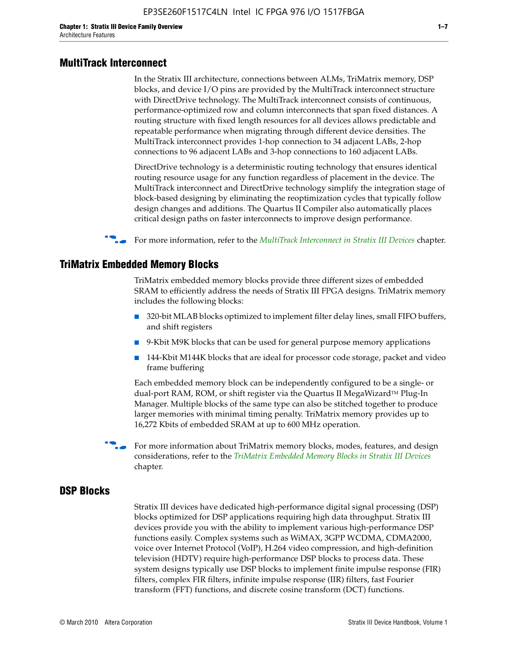#### **MultiTrack Interconnect**

In the Stratix III architecture, connections between ALMs, TriMatrix memory, DSP blocks, and device I/O pins are provided by the MultiTrack interconnect structure with DirectDrive technology. The MultiTrack interconnect consists of continuous, performance-optimized row and column interconnects that span fixed distances. A routing structure with fixed length resources for all devices allows predictable and repeatable performance when migrating through different device densities. The MultiTrack interconnect provides 1-hop connection to 34 adjacent LABs, 2-hop connections to 96 adjacent LABs and 3-hop connections to 160 adjacent LABs.

DirectDrive technology is a deterministic routing technology that ensures identical routing resource usage for any function regardless of placement in the device. The MultiTrack interconnect and DirectDrive technology simplify the integration stage of block-based designing by eliminating the reoptimization cycles that typically follow design changes and additions. The Quartus II Compiler also automatically places critical design paths on faster interconnects to improve design performance.

#### **For more information, refer to the** *[MultiTrack Interconnect in Stratix III Devices](http://www.altera.com/literature/hb/stx3/stx3_siii51003.pdf)* **chapter.**

#### **TriMatrix Embedded Memory Blocks**

TriMatrix embedded memory blocks provide three different sizes of embedded SRAM to efficiently address the needs of Stratix III FPGA designs. TriMatrix memory includes the following blocks:

- 320-bit MLAB blocks optimized to implement filter delay lines, small FIFO buffers, and shift registers
- 9-Kbit M9K blocks that can be used for general purpose memory applications
- 144-Kbit M144K blocks that are ideal for processor code storage, packet and video frame buffering

Each embedded memory block can be independently configured to be a single- or dual-port RAM, ROM, or shift register via the Quartus II MegaWizard™ Plug-In Manager. Multiple blocks of the same type can also be stitched together to produce larger memories with minimal timing penalty. TriMatrix memory provides up to 16,272 Kbits of embedded SRAM at up to 600 MHz operation.

For more information about TriMatrix memory blocks, modes, features, and design considerations, refer to the *[TriMatrix Embedded Memory Blocks in Stratix III Devices](http://www.altera.com/literature/hb/stx3/stx3_siii51004.pdf)* chapter.

#### **DSP Blocks**

Stratix III devices have dedicated high-performance digital signal processing (DSP) blocks optimized for DSP applications requiring high data throughput. Stratix III devices provide you with the ability to implement various high-performance DSP functions easily. Complex systems such as WiMAX, 3GPP WCDMA, CDMA2000, voice over Internet Protocol (VoIP), H.264 video compression, and high-definition television (HDTV) require high-performance DSP blocks to process data. These system designs typically use DSP blocks to implement finite impulse response (FIR) filters, complex FIR filters, infinite impulse response (IIR) filters, fast Fourier transform (FFT) functions, and discrete cosine transform (DCT) functions.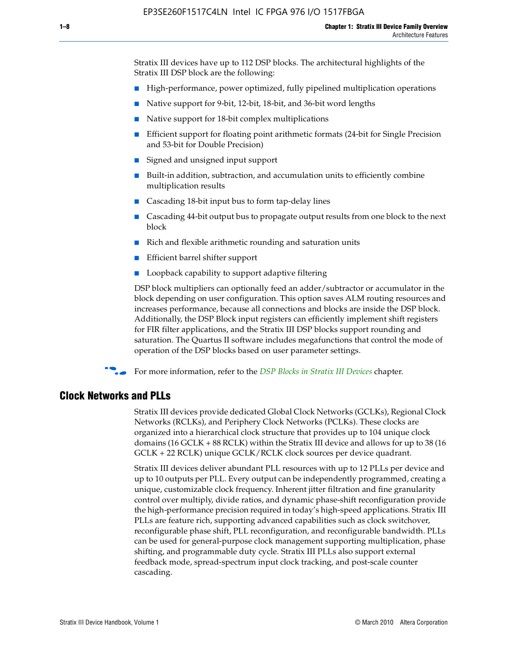Stratix III devices have up to 112 DSP blocks. The architectural highlights of the Stratix III DSP block are the following:

- High-performance, power optimized, fully pipelined multiplication operations
- Native support for 9-bit, 12-bit, 18-bit, and 36-bit word lengths
- Native support for 18-bit complex multiplications
- Efficient support for floating point arithmetic formats (24-bit for Single Precision and 53-bit for Double Precision)
- Signed and unsigned input support
- Built-in addition, subtraction, and accumulation units to efficiently combine multiplication results
- Cascading 18-bit input bus to form tap-delay lines
- Cascading 44-bit output bus to propagate output results from one block to the next block
- Rich and flexible arithmetic rounding and saturation units
- Efficient barrel shifter support
- Loopback capability to support adaptive filtering

DSP block multipliers can optionally feed an adder/subtractor or accumulator in the block depending on user configuration. This option saves ALM routing resources and increases performance, because all connections and blocks are inside the DSP block. Additionally, the DSP Block input registers can efficiently implement shift registers for FIR filter applications, and the Stratix III DSP blocks support rounding and saturation. The Quartus II software includes megafunctions that control the mode of operation of the DSP blocks based on user parameter settings.

f For more information, refer to the *[DSP Blocks in Stratix III Devices](http://www.altera.com/literature/hb/stx3/stx3_siii51005.pdf)* chapter.

#### **Clock Networks and PLLs**

Stratix III devices provide dedicated Global Clock Networks (GCLKs), Regional Clock Networks (RCLKs), and Periphery Clock Networks (PCLKs). These clocks are organized into a hierarchical clock structure that provides up to 104 unique clock domains (16 GCLK + 88 RCLK) within the Stratix III device and allows for up to 38 (16 GCLK + 22 RCLK) unique GCLK/RCLK clock sources per device quadrant.

Stratix III devices deliver abundant PLL resources with up to 12 PLLs per device and up to 10 outputs per PLL. Every output can be independently programmed, creating a unique, customizable clock frequency. Inherent jitter filtration and fine granularity control over multiply, divide ratios, and dynamic phase-shift reconfiguration provide the high-performance precision required in today's high-speed applications. Stratix III PLLs are feature rich, supporting advanced capabilities such as clock switchover, reconfigurable phase shift, PLL reconfiguration, and reconfigurable bandwidth. PLLs can be used for general-purpose clock management supporting multiplication, phase shifting, and programmable duty cycle. Stratix III PLLs also support external feedback mode, spread-spectrum input clock tracking, and post-scale counter cascading.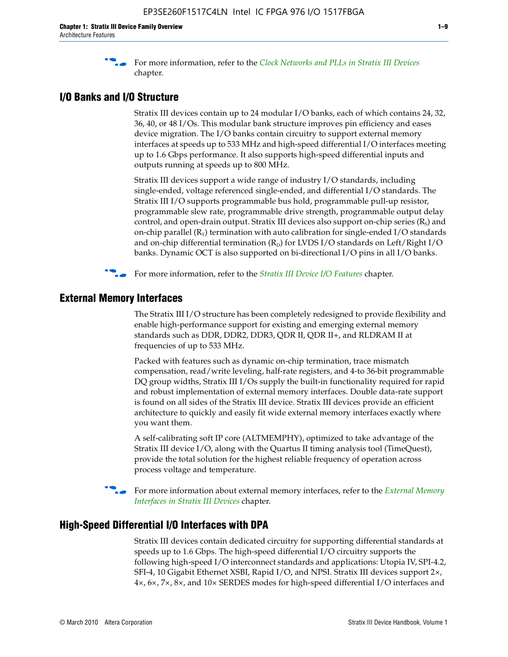f For more information, refer to the *[Clock Networks and PLLs in Stratix III Devices](http://www.altera.com/literature/hb/stx3/stx3_siii51006.pdf)* chapter.

#### **I/O Banks and I/O Structure**

Stratix III devices contain up to 24 modular I/O banks, each of which contains 24, 32, 36, 40, or 48 I/Os. This modular bank structure improves pin efficiency and eases device migration. The I/O banks contain circuitry to support external memory interfaces at speeds up to 533 MHz and high-speed differential I/O interfaces meeting up to 1.6 Gbps performance. It also supports high-speed differential inputs and outputs running at speeds up to 800 MHz.

Stratix III devices support a wide range of industry I/O standards, including single-ended, voltage referenced single-ended, and differential I/O standards. The Stratix III I/O supports programmable bus hold, programmable pull-up resistor, programmable slew rate, programmable drive strength, programmable output delay control, and open-drain output. Stratix III devices also support on-chip series  $(R<sub>s</sub>)$  and on-chip parallel  $(R_T)$  termination with auto calibration for single-ended I/O standards and on-chip differential termination  $(R_D)$  for LVDS I/O standards on Left/Right I/O banks. Dynamic OCT is also supported on bi-directional I/O pins in all I/O banks.

**For more information, refer to the** *[Stratix III Device I/O Features](http://www.altera.com/literature/hb/stx3/stx3_siii51007.pdf)* **chapter.** 

#### **External Memory Interfaces**

The Stratix III I/O structure has been completely redesigned to provide flexibility and enable high-performance support for existing and emerging external memory standards such as DDR, DDR2, DDR3, QDR II, QDR II+, and RLDRAM II at frequencies of up to 533 MHz.

Packed with features such as dynamic on-chip termination, trace mismatch compensation, read/write leveling, half-rate registers, and 4-to 36-bit programmable DQ group widths, Stratix III I/Os supply the built-in functionality required for rapid and robust implementation of external memory interfaces. Double data-rate support is found on all sides of the Stratix III device. Stratix III devices provide an efficient architecture to quickly and easily fit wide external memory interfaces exactly where you want them.

A self-calibrating soft IP core (ALTMEMPHY), optimized to take advantage of the Stratix III device I/O, along with the Quartus II timing analysis tool (TimeQuest), provide the total solution for the highest reliable frequency of operation across process voltage and temperature.

f For more information about external memory interfaces, refer to the *[External Memory](http://www.altera.com/literature/hb/stx3/stx3_siii51008.pdf)  [Interfaces in Stratix III Devices](http://www.altera.com/literature/hb/stx3/stx3_siii51008.pdf)* chapter.

#### **High-Speed Differential I/O Interfaces with DPA**

Stratix III devices contain dedicated circuitry for supporting differential standards at speeds up to 1.6 Gbps. The high-speed differential I/O circuitry supports the following high-speed I/O interconnect standards and applications: Utopia IV, SPI-4.2, SFI-4, 10 Gigabit Ethernet XSBI, Rapid I/O, and NPSI. Stratix III devices support 2×, 4×, 6×, 7×, 8×, and 10× SERDES modes for high-speed differential I/O interfaces and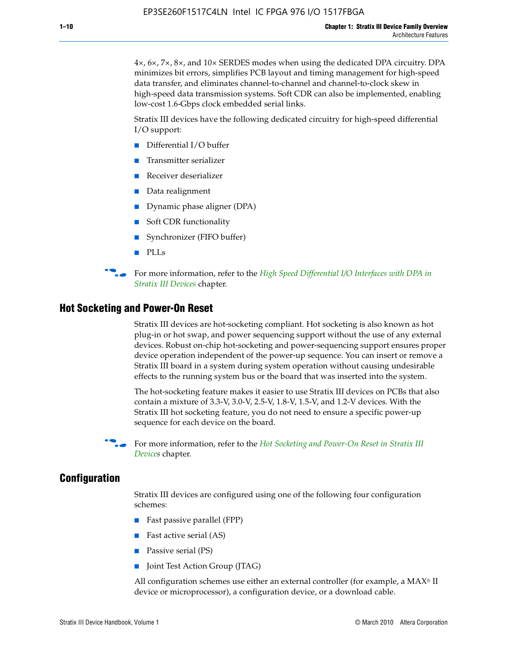4×, 6×, 7×, 8×, and 10× SERDES modes when using the dedicated DPA circuitry. DPA minimizes bit errors, simplifies PCB layout and timing management for high-speed data transfer, and eliminates channel-to-channel and channel-to-clock skew in high-speed data transmission systems. Soft CDR can also be implemented, enabling low-cost 1.6-Gbps clock embedded serial links.

Stratix III devices have the following dedicated circuitry for high-speed differential I/O support:

- Differential I/O buffer
- Transmitter serializer
- Receiver deserializer
- Data realignment
- Dynamic phase aligner (DPA)
- Soft CDR functionality
- Synchronizer (FIFO buffer)
- PLLs

**For more information, refer to the** *High Speed Differential I/O Interfaces with DPA in [Stratix III Devices](http://www.altera.com/literature/hb/stx3/stx3_siii51009.pdf)* chapter.

#### **Hot Socketing and Power-On Reset**

Stratix III devices are hot-socketing compliant. Hot socketing is also known as hot plug-in or hot swap, and power sequencing support without the use of any external devices. Robust on-chip hot-socketing and power-sequencing support ensures proper device operation independent of the power-up sequence. You can insert or remove a Stratix III board in a system during system operation without causing undesirable effects to the running system bus or the board that was inserted into the system.

The hot-socketing feature makes it easier to use Stratix III devices on PCBs that also contain a mixture of 3.3-V, 3.0-V, 2.5-V, 1.8-V, 1.5-V, and 1.2-V devices. With the Stratix III hot socketing feature, you do not need to ensure a specific power-up sequence for each device on the board.

f For more information, refer to the *[Hot Socketing and Power-On Reset in Stratix III](http://www.altera.com/literature/hb/stx3/stx3_siii51010.pdf)  [Device](http://www.altera.com/literature/hb/stx3/stx3_siii51010.pdf)s* chapter.

#### **Configuration**

Stratix III devices are configured using one of the following four configuration schemes:

- Fast passive parallel (FPP)
- Fast active serial (AS)
- Passive serial (PS)
- Joint Test Action Group (JTAG)

All configuration schemes use either an external controller (for example, a  $MAX<sup>®</sup>$  II device or microprocessor), a configuration device, or a download cable.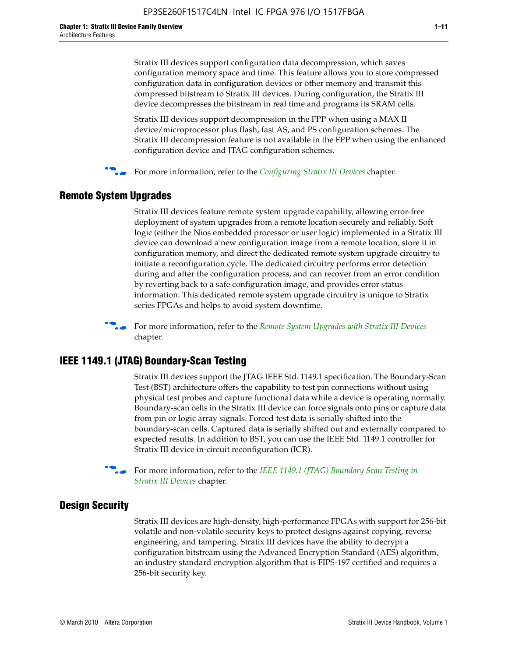Stratix III devices support configuration data decompression, which saves configuration memory space and time. This feature allows you to store compressed configuration data in configuration devices or other memory and transmit this compressed bitstream to Stratix III devices. During configuration, the Stratix III device decompresses the bitstream in real time and programs its SRAM cells.

Stratix III devices support decompression in the FPP when using a MAX II device/microprocessor plus flash, fast AS, and PS configuration schemes. The Stratix III decompression feature is not available in the FPP when using the enhanced configuration device and JTAG configuration schemes.

For more information, refer to the *[Configuring Stratix III Devices](http://www.altera.com/literature/hb/stx3/stx3_siii51011.pdf)* chapter.

#### **Remote System Upgrades**

Stratix III devices feature remote system upgrade capability, allowing error-free deployment of system upgrades from a remote location securely and reliably. Soft logic (either the Nios embedded processor or user logic) implemented in a Stratix III device can download a new configuration image from a remote location, store it in configuration memory, and direct the dedicated remote system upgrade circuitry to initiate a reconfiguration cycle. The dedicated circuitry performs error detection during and after the configuration process, and can recover from an error condition by reverting back to a safe configuration image, and provides error status information. This dedicated remote system upgrade circuitry is unique to Stratix series FPGAs and helps to avoid system downtime.



**For more information, refer to the** *[Remote System Upgrades with Stratix III Devices](http://www.altera.com/literature/hb/stx3/stx3_siii51012.pdf)* chapter.

#### **IEEE 1149.1 (JTAG) Boundary-Scan Testing**

Stratix III devices support the JTAG IEEE Std. 1149.1 specification. The Boundary-Scan Test (BST) architecture offers the capability to test pin connections without using physical test probes and capture functional data while a device is operating normally. Boundary-scan cells in the Stratix III device can force signals onto pins or capture data from pin or logic array signals. Forced test data is serially shifted into the boundary-scan cells. Captured data is serially shifted out and externally compared to expected results. In addition to BST, you can use the IEEE Std. 1149.1 controller for Stratix III device in-circuit reconfiguration (ICR).

For more information, refer to the *IEEE 1149.1 (JTAG) Boundary Scan Testing in [Stratix III Devices](http://www.altera.com/literature/hb/stx3/stx3_siii51013.pdf)* chapter.

#### **Design Security**

Stratix III devices are high-density, high-performance FPGAs with support for 256-bit volatile and non-volatile security keys to protect designs against copying, reverse engineering, and tampering. Stratix III devices have the ability to decrypt a configuration bitstream using the Advanced Encryption Standard (AES) algorithm, an industry standard encryption algorithm that is FIPS-197 certified and requires a 256-bit security key.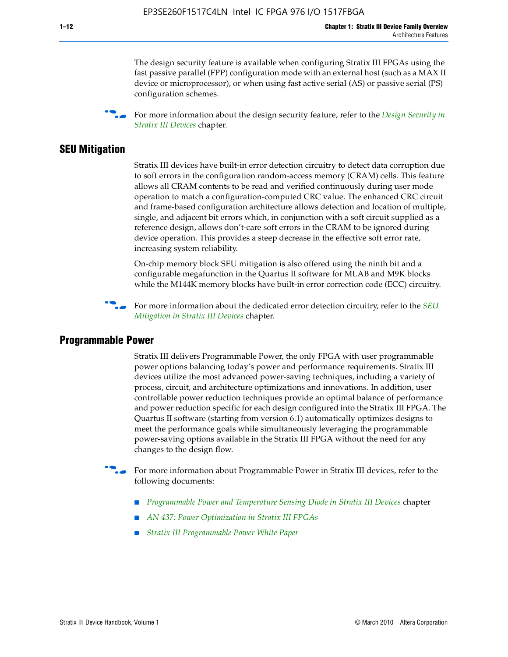The design security feature is available when configuring Stratix III FPGAs using the fast passive parallel (FPP) configuration mode with an external host (such as a MAX II device or microprocessor), or when using fast active serial (AS) or passive serial (PS) configuration schemes.

f For more information about the design security feature, refer to the *[Design Security in](http://www.altera.com/literature/hb/stx3/stx3_siii51014.pdf)  [Stratix III Devices](http://www.altera.com/literature/hb/stx3/stx3_siii51014.pdf)* chapter.

#### **SEU Mitigation**

Stratix III devices have built-in error detection circuitry to detect data corruption due to soft errors in the configuration random-access memory (CRAM) cells. This feature allows all CRAM contents to be read and verified continuously during user mode operation to match a configuration-computed CRC value. The enhanced CRC circuit and frame-based configuration architecture allows detection and location of multiple, single, and adjacent bit errors which, in conjunction with a soft circuit supplied as a reference design, allows don't-care soft errors in the CRAM to be ignored during device operation. This provides a steep decrease in the effective soft error rate, increasing system reliability.

On-chip memory block SEU mitigation is also offered using the ninth bit and a configurable megafunction in the Quartus II software for MLAB and M9K blocks while the M144K memory blocks have built-in error correction code (ECC) circuitry.

For more information about the dedicated error detection circuitry, refer to the *SEU [Mitigation in Stratix III Devices](http://www.altera.com/literature/hb/stx3/stx3_siii51015.pdf)* chapter.

#### **Programmable Power**

Stratix III delivers Programmable Power, the only FPGA with user programmable power options balancing today's power and performance requirements. Stratix III devices utilize the most advanced power-saving techniques, including a variety of process, circuit, and architecture optimizations and innovations. In addition, user controllable power reduction techniques provide an optimal balance of performance and power reduction specific for each design configured into the Stratix III FPGA. The Quartus II software (starting from version 6.1) automatically optimizes designs to meet the performance goals while simultaneously leveraging the programmable power-saving options available in the Stratix III FPGA without the need for any changes to the design flow.

For more information about Programmable Power in Stratix III devices, refer to the following documents:

- *[Programmable Power and Temperature Sensing Diode in Stratix III Devices](http://www.altera.com/literature/hb/stx3/stx3_siii51016.pdf)* chapter
- *[AN 437: Power Optimization in Stratix III FPGAs](http://www.altera.com/literature/an/AN437.pdf)*
- *[Stratix III Programmable Power White Paper](http://www.altera.com/literature/wp/wp-01006.pdf)*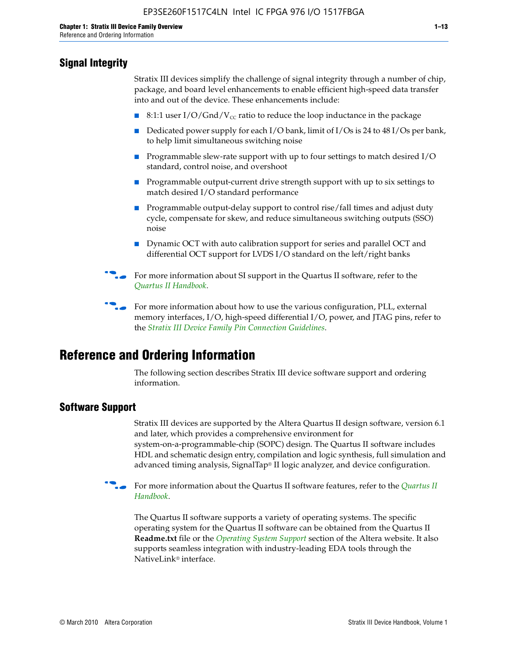### **Signal Integrity**

Stratix III devices simplify the challenge of signal integrity through a number of chip, package, and board level enhancements to enable efficient high-speed data transfer into and out of the device. These enhancements include:

- 8:1:1 user I/O/Gnd/V<sub>cc</sub> ratio to reduce the loop inductance in the package
- Dedicated power supply for each I/O bank, limit of I/Os is 24 to 48 I/Os per bank, to help limit simultaneous switching noise
- Programmable slew-rate support with up to four settings to match desired I/O standard, control noise, and overshoot
- Programmable output-current drive strength support with up to six settings to match desired I/O standard performance
- Programmable output-delay support to control rise/fall times and adjust duty cycle, compensate for skew, and reduce simultaneous switching outputs (SSO) noise
- Dynamic OCT with auto calibration support for series and parallel OCT and differential OCT support for LVDS I/O standard on the left/right banks
- For mor[e](http://www.altera.com/literature/hb/qts/quartusii_handbook.pdf) information about SI support in the Quartus II software, refer to the *[Quartus II Handbook](http://www.altera.com/literature/hb/qts/quartusii_handbook.pdf)*.

For more information about how to use the various configuration, PLL, external memory interfaces, I/O, high-speed differential I/O, power, and JTAG pins, refer to the *[Stratix III Device Family Pin Connection Guidelines](http://www.altera.com/literature/dp/stx3/PCG-01004.pdf)*.

## **Reference and Ordering Information**

The following section describes Stratix III device software support and ordering information.

#### **Software Support**

Stratix III devices are supported by the Altera Quartus II design software, version 6.1 and later, which provides a comprehensive environment for system-on-a-programmable-chip (SOPC) design. The Quartus II software includes HDL and schematic design entry, compilation and logic synthesis, full simulation and advanced timing analysis, SignalTap® II logic analyzer, and device configuration.

**for more information about the [Quartus II](http://www.altera.com/literature/hb/qts/quartusii_handbook.pdf) software features, refer to the** *Quartus II* **<b>For all 2** *[Handbook](http://www.altera.com/literature/hb/qts/quartusii_handbook.pdf)*.

The Quartus II software supports a variety of operating systems. The specific operating system for the Quartus II software can be obtained from the Quartus II **Readme.txt** file or the *[Operating System Support](http://www.altera.com/support/software/os_support/oss-index.html)* section of the Altera website. It also supports seamless integration with industry-leading EDA tools through the NativeLink® interface.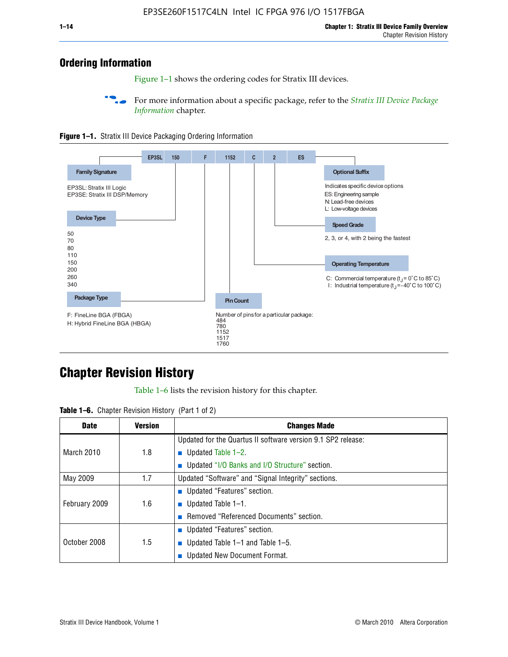## **Ordering Information**

Figure 1–1 shows the ordering codes for Stratix III devices.

For more information about a specific package, refer to the *Stratix III Device Package [Information](http://www.altera.com/literature/hb/stx3/stx3_siii51017.pdf)* chapter.





## **[C](http://www.altera.com/literature/hb/stx3/stx3_siii51012.pdf)hapter Revision History**

Table 1–6 lists the revision history for this chapter.

| <b>Table 1–6.</b> Chapter Revision History (Part 1 of 2) |  |  |  |  |  |
|----------------------------------------------------------|--|--|--|--|--|
|----------------------------------------------------------|--|--|--|--|--|

| <b>Date</b>       | <b>Version</b> | <b>Changes Made</b>                                          |
|-------------------|----------------|--------------------------------------------------------------|
|                   |                | Updated for the Quartus II software version 9.1 SP2 release: |
| <b>March 2010</b> | 1.8            | <b>u</b> Updated Table $1-2$ .                               |
|                   |                | ■ Updated "I/O Banks and I/O Structure" section.             |
| May 2009          | 1.7            | Updated "Software" and "Signal Integrity" sections.          |
|                   |                | Updated "Features" section.                                  |
| February 2009     | 1.6            | <b>u</b> Updated Table $1-1$ .                               |
|                   |                | Removed "Referenced Documents" section.                      |
|                   |                | ■ Updated "Features" section.                                |
| October 2008      | 1.5            | ■ Updated Table 1–1 and Table 1–5.                           |
|                   |                | <b>Updated New Document Format.</b>                          |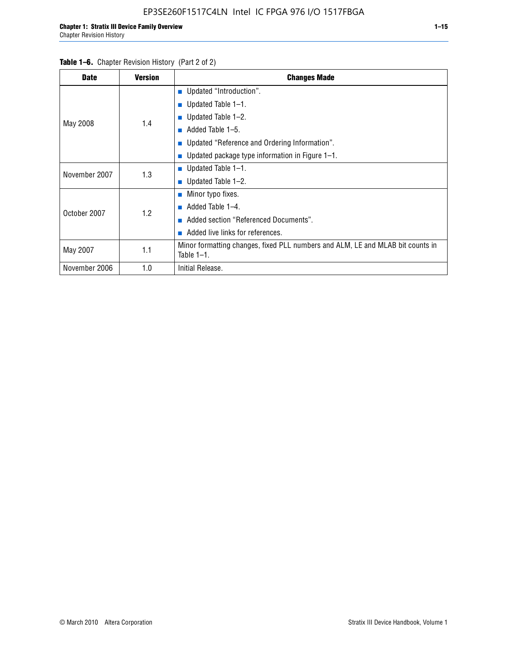#### Table 1–6. Chapter Revision History (Part 2 of 2)

| <b>Date</b>   | <b>Version</b> | <b>Changes Made</b>                                                                             |  |  |  |
|---------------|----------------|-------------------------------------------------------------------------------------------------|--|--|--|
|               |                | <b>Updated "Introduction".</b>                                                                  |  |  |  |
|               |                | ■ Updated Table $1-1$ .                                                                         |  |  |  |
|               | 1.4            | Updated Table 1-2.                                                                              |  |  |  |
| May 2008      |                | Added Table 1-5.<br>ш                                                                           |  |  |  |
|               |                | ■ Updated "Reference and Ordering Information".                                                 |  |  |  |
|               |                | Updated package type information in Figure 1-1.                                                 |  |  |  |
| November 2007 | 1.3            | ■ Updated Table $1-1$ .                                                                         |  |  |  |
|               |                | ■ Updated Table $1-2$ .                                                                         |  |  |  |
|               |                | ■ Minor typo fixes.                                                                             |  |  |  |
| October 2007  | 1.2            | Added Table 1-4.                                                                                |  |  |  |
|               |                | Added section "Referenced Documents".                                                           |  |  |  |
|               |                | Added live links for references.                                                                |  |  |  |
| May 2007      | 1.1            | Minor formatting changes, fixed PLL numbers and ALM, LE and MLAB bit counts in<br>Table $1-1$ . |  |  |  |
| November 2006 | 1.0            | Initial Release.                                                                                |  |  |  |